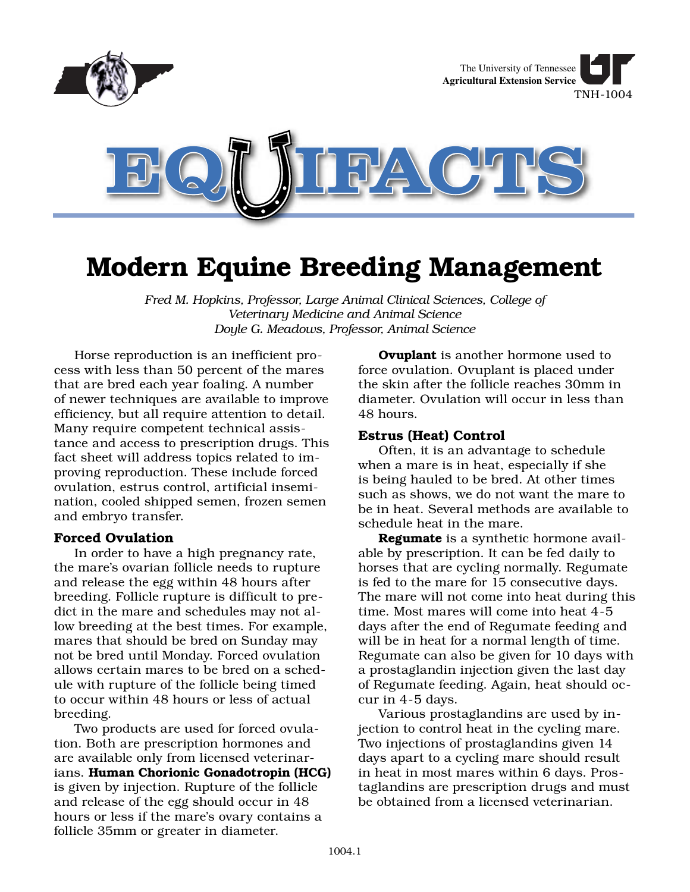

# **Modern Equine Breeding Management**

*Fred M. Hopkins, Professor, Large Animal Clinical Sciences, College of Veterinary Medicine and Animal Science Doyle G. Meadows, Professor, Animal Science*

Horse reproduction is an inefficient process with less than 50 percent of the mares that are bred each year foaling. A number of newer techniques are available to improve efficiency, but all require attention to detail. Many require competent technical assistance and access to prescription drugs. This fact sheet will address topics related to improving reproduction. These include forced ovulation, estrus control, artificial insemination, cooled shipped semen, frozen semen and embryo transfer.

## **Forced Ovulation**

In order to have a high pregnancy rate, the mare's ovarian follicle needs to rupture and release the egg within 48 hours after breeding. Follicle rupture is difficult to predict in the mare and schedules may not allow breeding at the best times. For example, mares that should be bred on Sunday may not be bred until Monday. Forced ovulation allows certain mares to be bred on a schedule with rupture of the follicle being timed to occur within 48 hours or less of actual breeding.

Two products are used for forced ovulation. Both are prescription hormones and are available only from licensed veterinarians. **Human Chorionic Gonadotropin (HCG)** is given by injection. Rupture of the follicle and release of the egg should occur in 48 hours or less if the mare's ovary contains a follicle 35mm or greater in diameter.

**Ovuplant** is another hormone used to force ovulation. Ovuplant is placed under the skin after the follicle reaches 30mm in diameter. Ovulation will occur in less than 48 hours.

## **Estrus (Heat) Control**

Often, it is an advantage to schedule when a mare is in heat, especially if she is being hauled to be bred. At other times such as shows, we do not want the mare to be in heat. Several methods are available to schedule heat in the mare.

**Regumate** is a synthetic hormone available by prescription. It can be fed daily to horses that are cycling normally. Regumate is fed to the mare for 15 consecutive days. The mare will not come into heat during this time. Most mares will come into heat 4-5 days after the end of Regumate feeding and will be in heat for a normal length of time. Regumate can also be given for 10 days with a prostaglandin injection given the last day of Regumate feeding. Again, heat should occur in 4-5 days.

Various prostaglandins are used by injection to control heat in the cycling mare. Two injections of prostaglandins given 14 days apart to a cycling mare should result in heat in most mares within 6 days. Prostaglandins are prescription drugs and must be obtained from a licensed veterinarian.